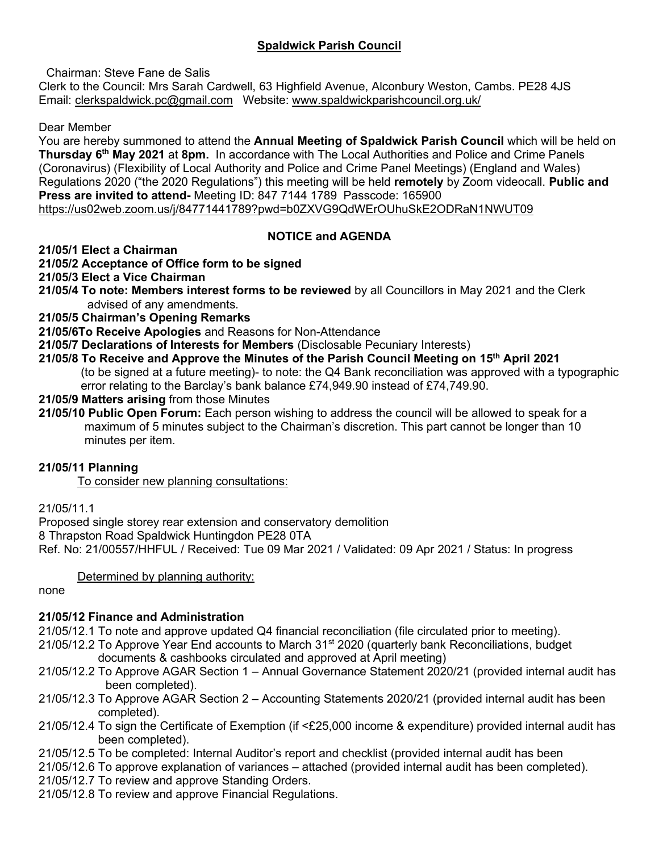# **Spaldwick Parish Council**

Chairman: Steve Fane de Salis

Clerk to the Council: Mrs Sarah Cardwell, 63 Highfield Avenue, Alconbury Weston, Cambs. PE28 4JS Email: [clerkspaldwick.pc@gmail.com](mailto:clerkspaldwick.pc@gmail.com) Website: [www.spaldwickparishcouncil.org.uk/](http://www.spaldwickparishcouncil.org.uk/)

Dear Member

You are hereby summoned to attend the **Annual Meeting of Spaldwick Parish Council** which will be held on **Thursday 6 th May 2021** at **8pm.** In accordance with The Local Authorities and Police and Crime Panels (Coronavirus) (Flexibility of Local Authority and Police and Crime Panel Meetings) (England and Wales) Regulations 2020 ("the 2020 Regulations") this meeting will be held **remotely** by Zoom videocall. **Public and Press are invited to attend-** Meeting ID: 847 7144 1789 Passcode: 165900 <https://us02web.zoom.us/j/84771441789?pwd=b0ZXVG9QdWErOUhuSkE2ODRaN1NWUT09>

# **NOTICE and AGENDA**

#### **21/05/1 Elect a Chairman**

# **21/05/2 Acceptance of Office form to be signed**

**21/05/3 Elect a Vice Chairman** 

**21/05/4 To note: Members interest forms to be reviewed** by all Councillors in May 2021 and the Clerk advised of any amendments.

**21/05/5 Chairman's Opening Remarks** 

- **21/05/6To Receive Apologies** and Reasons for Non-Attendance
- **21/05/7 Declarations of Interests for Members** (Disclosable Pecuniary Interests)
- **21/05/8 To Receive and Approve the Minutes of the Parish Council Meeting on 15 th April 2021** (to be signed at a future meeting)- to note: the Q4 Bank reconciliation was approved with a typographic error relating to the Barclay's bank balance £74,949.90 instead of £74,749.90.
- **21/05/9 Matters arising** from those Minutes
- **21/05/10 Public Open Forum:** Each person wishing to address the council will be allowed to speak for a maximum of 5 minutes subject to the Chairman's discretion. This part cannot be longer than 10 minutes per item.

# **21/05/11 Planning**

To consider new planning consultations:

21/05/11.1

Proposed single storey rear extension and conservatory demolition 8 Thrapston Road Spaldwick Huntingdon PE28 0TA Ref. No: 21/00557/HHFUL / Received: Tue 09 Mar 2021 / Validated: 09 Apr 2021 / Status: In progress

#### Determined by planning authority:

#### none

# **21/05/12 Finance and Administration**

21/05/12.1 To note and approve updated Q4 financial reconciliation (file circulated prior to meeting).

- $21/05/12.2$  To Approve Year End accounts to March  $31<sup>st</sup> 2020$  (quarterly bank Reconciliations, budget documents & cashbooks circulated and approved at April meeting)
- 21/05/12.2 To Approve AGAR Section 1 Annual Governance Statement 2020/21 (provided internal audit has been completed).
- 21/05/12.3 To Approve AGAR Section 2 Accounting Statements 2020/21 (provided internal audit has been completed).
- 21/05/12.4 To sign the Certificate of Exemption (if <£25,000 income & expenditure) provided internal audit has been completed).
- 21/05/12.5 To be completed: Internal Auditor's report and checklist (provided internal audit has been
- 21/05/12.6 To approve explanation of variances attached (provided internal audit has been completed).
- 21/05/12.7 To review and approve Standing Orders.
- 21/05/12.8 To review and approve Financial Regulations.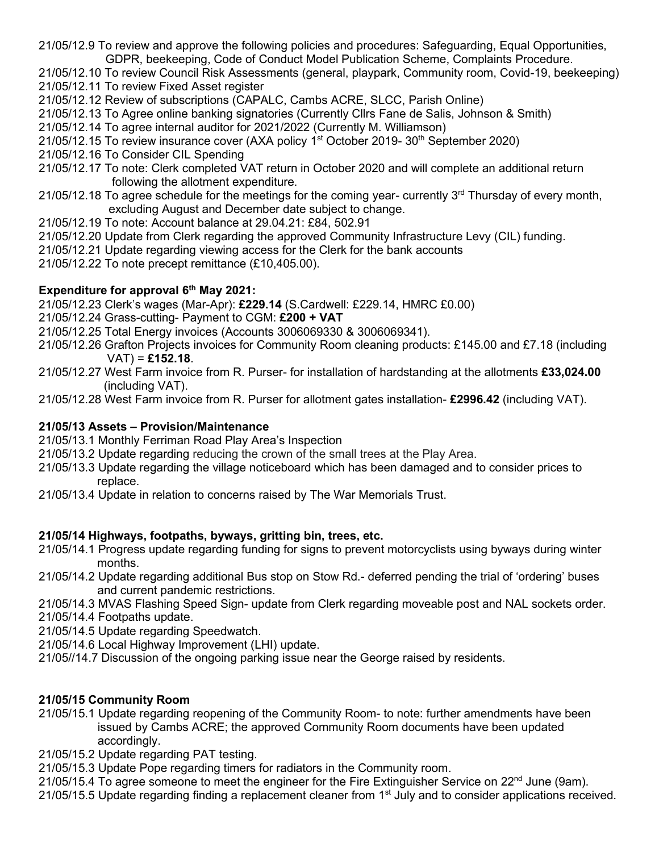21/05/12.9 To review and approve the following policies and procedures: Safeguarding, Equal Opportunities, GDPR, beekeeping, Code of Conduct Model Publication Scheme, Complaints Procedure.

21/05/12.10 To review Council Risk Assessments (general, playpark, Community room, Covid-19, beekeeping) 21/05/12.11 To review Fixed Asset register

- 21/05/12.12 Review of subscriptions (CAPALC, Cambs ACRE, SLCC, Parish Online)
- 21/05/12.13 To Agree online banking signatories (Currently Cllrs Fane de Salis, Johnson & Smith)
- 21/05/12.14 To agree internal auditor for 2021/2022 (Currently M. Williamson)
- 21/05/12.15 To review insurance cover (AXA policy  $1<sup>st</sup>$  October 2019- 30<sup>th</sup> September 2020)

21/05/12.16 To Consider CIL Spending

- 21/05/12.17 To note: Clerk completed VAT return in October 2020 and will complete an additional return following the allotment expenditure.
- 21/05/12.18 To agree schedule for the meetings for the coming year- currently 3<sup>rd</sup> Thursday of every month, excluding August and December date subject to change.
- 21/05/12.19 To note: Account balance at 29.04.21: £84, 502.91
- 21/05/12.20 Update from Clerk regarding the approved Community Infrastructure Levy (CIL) funding.
- 21/05/12.21 Update regarding viewing access for the Clerk for the bank accounts
- 21/05/12.22 To note precept remittance (£10,405.00).

# **Expenditure for approval 6 th May 2021:**

21/05/12.23 Clerk's wages (Mar-Apr): **£229.14** (S.Cardwell: £229.14, HMRC £0.00)

- 21/05/12.24 Grass-cutting- Payment to CGM: **£200 + VAT**
- 21/05/12.25 Total Energy invoices (Accounts 3006069330 & 3006069341).
- 21/05/12.26 Grafton Projects invoices for Community Room cleaning products: £145.00 and £7.18 (including VAT) = **£152.18**.
- 21/05/12.27 West Farm invoice from R. Purser- for installation of hardstanding at the allotments **£33,024.00** (including VAT).

21/05/12.28 West Farm invoice from R. Purser for allotment gates installation- **£2996.42** (including VAT).

# **21/05/13 Assets – Provision/Maintenance**

- 21/05/13.1 Monthly Ferriman Road Play Area's Inspection
- 21/05/13.2 Update regarding reducing the crown of the small trees at the Play Area.
- 21/05/13.3 Update regarding the village noticeboard which has been damaged and to consider prices to replace.
- 21/05/13.4 Update in relation to concerns raised by The War Memorials Trust.

# **21/05/14 Highways, footpaths, byways, gritting bin, trees, etc.**

- 21/05/14.1 Progress update regarding funding for signs to prevent motorcyclists using byways during winter months.
- 21/05/14.2 Update regarding additional Bus stop on Stow Rd.- deferred pending the trial of 'ordering' buses and current pandemic restrictions.
- 21/05/14.3 MVAS Flashing Speed Sign- update from Clerk regarding moveable post and NAL sockets order.

21/05/14.4 Footpaths update.

- 21/05/14.5 Update regarding Speedwatch.
- 21/05/14.6 Local Highway Improvement (LHI) update.
- 21/05//14.7 Discussion of the ongoing parking issue near the George raised by residents.

# **21/05/15 Community Room**

- 21/05/15.1 Update regarding reopening of the Community Room- to note: further amendments have been issued by Cambs ACRE; the approved Community Room documents have been updated accordingly.
- 21/05/15.2 Update regarding PAT testing.
- 21/05/15.3 Update Pope regarding timers for radiators in the Community room.
- 21/05/15.4 To agree someone to meet the engineer for the Fire Extinguisher Service on 22<sup>nd</sup> June (9am).
- 21/05/15.5 Update regarding finding a replacement cleaner from 1st July and to consider applications received.